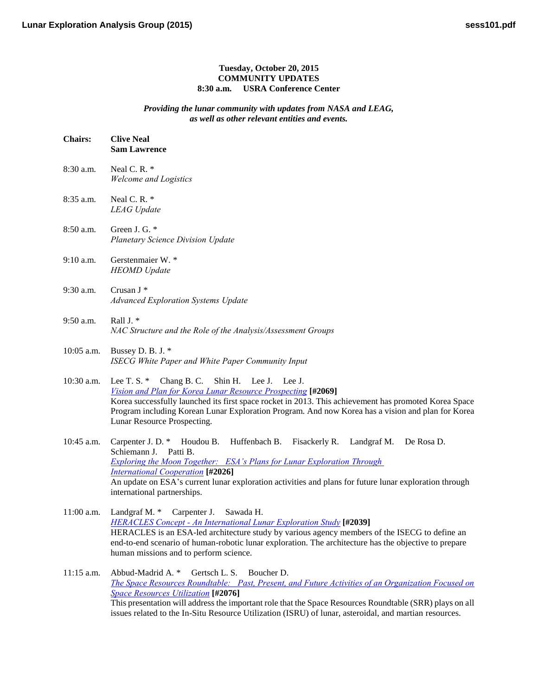## **Tuesday, October 20, 2015 COMMUNITY UPDATES 8:30 a.m. USRA Conference Center**

## *Providing the lunar community with updates from NASA and LEAG, as well as other relevant entities and events.*

| <b>Chairs:</b> | <b>Clive Neal</b><br><b>Sam Lawrence</b>                                                                                                                                                                                                                                                                                                                                                 |
|----------------|------------------------------------------------------------------------------------------------------------------------------------------------------------------------------------------------------------------------------------------------------------------------------------------------------------------------------------------------------------------------------------------|
| 8:30 a.m.      | Neal C.R. *<br><b>Welcome and Logistics</b>                                                                                                                                                                                                                                                                                                                                              |
| 8:35 a.m.      | Neal C.R.*<br><b>LEAG</b> Update                                                                                                                                                                                                                                                                                                                                                         |
| 8:50 a.m.      | Green J. G. *<br><b>Planetary Science Division Update</b>                                                                                                                                                                                                                                                                                                                                |
| $9:10$ a.m.    | Gerstenmaier W. *<br><b>HEOMD</b> Update                                                                                                                                                                                                                                                                                                                                                 |
| 9:30 a.m.      | Crusan J *<br><b>Advanced Exploration Systems Update</b>                                                                                                                                                                                                                                                                                                                                 |
| 9:50 a.m.      | Rall J. *<br>NAC Structure and the Role of the Analysis/Assessment Groups                                                                                                                                                                                                                                                                                                                |
| 10:05 a.m.     | Bussey D. B. J. *<br>ISECG White Paper and White Paper Community Input                                                                                                                                                                                                                                                                                                                   |
| 10:30 a.m.     | Lee T. S. * Chang B. C. Shin H. Lee J. Lee J.<br>Vision and Plan for Korea Lunar Resource Prospecting [#2069]<br>Korea successfully launched its first space rocket in 2013. This achievement has promoted Korea Space<br>Program including Korean Lunar Exploration Program. And now Korea has a vision and plan for Korea<br>Lunar Resource Prospecting.                               |
| 10:45 a.m.     | Huffenbach B. Fisackerly R. Landgraf M.<br>Carpenter J. D. $*$ Houdou B.<br>De Rosa D.<br>Schiemann J.<br>Patti B.<br><b>Exploring the Moon Together:</b> ESA's Plans for Lunar Exploration Through<br><b>International Cooperation</b> [#2026]<br>An update on ESA's current lunar exploration activities and plans for future lunar exploration through<br>international partnerships. |
| $11:00$ a.m.   | Landgraf M. * Carpenter J.<br>Sawada H.<br><b>HERACLES Concept - An International Lunar Exploration Study [#2039]</b><br>HERACLES is an ESA-led architecture study by various agency members of the ISECG to define an<br>end-to-end scenario of human-robotic lunar exploration. The architecture has the objective to prepare<br>human missions and to perform science.                |
| 11:15 a.m.     | Abbud-Madrid A. *<br>Gertsch L. S.<br>Boucher D.<br>The Space Resources Roundtable: Past, Present, and Future Activities of an Organization Focused on<br><b>Space Resources Utilization [#2076]</b><br>This presentation will address the important role that the Space Resources Roundtable (SRR) plays on all                                                                         |

issues related to the In-Situ Resource Utilization (ISRU) of lunar, asteroidal, and martian resources.